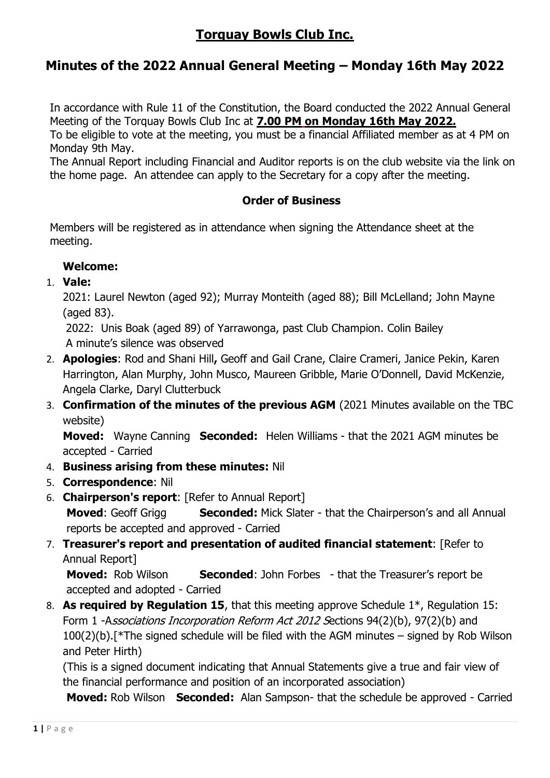# **Torquay Bowls Club Inc.**

## **Minutes of the 2022 Annual General Meeting – Monday 16th May 2022**

In accordance with Rule 11 of the Constitution, the Board conducted the 2022 Annual General Meeting of the Torquay Bowls Club Inc at **7.00 PM on Monday 16th May 2022.**

To be eligible to vote at the meeting, you must be a financial Affiliated member as at 4 PM on Monday 9th May.

The Annual Report including Financial and Auditor reports is on the club website via the link on the home page. An attendee can apply to the Secretary for a copy after the meeting.

## **Order of Business**

Members will be registered as in attendance when signing the Attendance sheet at the meeting.

## **Welcome:**

1. **Vale:**

2021: Laurel Newton (aged 92); Murray Monteith (aged 88); Bill McLelland; John Mayne (aged 83).

2022: Unis Boak (aged 89) of Yarrawonga, past Club Champion. Colin Bailey A minute's silence was observed

- 2. **Apologies**: Rod and Shani Hill**,** Geoff and Gail Crane, Claire Crameri, Janice Pekin, Karen Harrington, Alan Murphy, John Musco, Maureen Gribble, Marie O'Donnell, David McKenzie, Angela Clarke, Daryl Clutterbuck
- 3. **Confirmation of the minutes of the previous AGM** (2021 Minutes available on the TBC website)

**Moved:** Wayne Canning **Seconded:** Helen Williams - that the 2021 AGM minutes be accepted - Carried

- 4. **Business arising from these minutes:** Nil
- 5. **Correspondence**: Nil
- 6. **Chairperson's report**: [Refer to Annual Report] **Moved:** Geoff Grigg **Seconded:** Mick Slater - that the Chairperson's and all Annual reports be accepted and approved - Carried
- 7. **Treasurer's report and presentation of audited financial statement**: [Refer to Annual Report]

**Moved:** Rob Wilson **Seconded**: John Forbes- that the Treasurer's report be accepted and adopted - Carried

8. **As required by Regulation 15**, that this meeting approve Schedule 1\*, Regulation 15: Form 1 -Associations Incorporation Reform Act 2012 Sections 94(2)(b), 97(2)(b) and 100(2)(b).[\*The signed schedule will be filed with the AGM minutes – signed by Rob Wilson and Peter Hirth)

(This is a signed document indicating that Annual Statements give a true and fair view of the financial performance and position of an incorporated association)

**Moved:** Rob Wilson **Seconded:** Alan Sampson- that the schedule be approved - Carried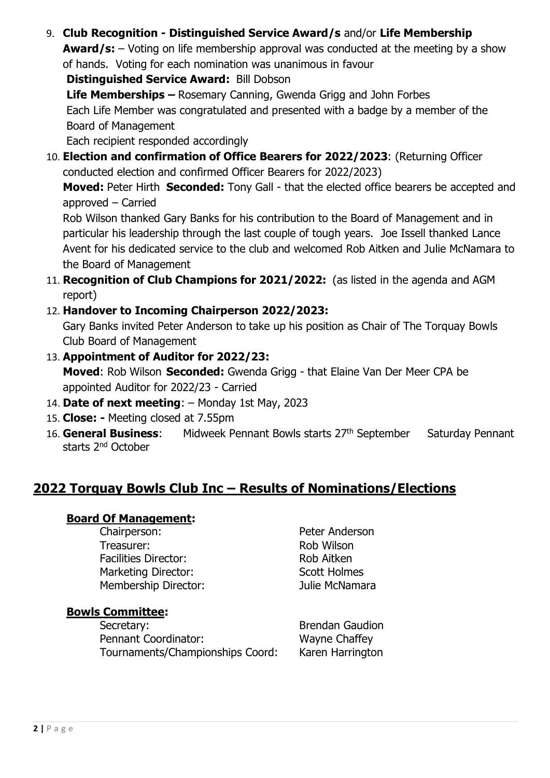9. **Club Recognition - Distinguished Service Award/s** and/or **Life Membership** 

**Award/s:** – Voting on life membership approval was conducted at the meeting by a show of hands. Voting for each nomination was unanimous in favour

**Distinguished Service Award:** Bill Dobson

**Life Memberships –** Rosemary Canning, Gwenda Grigg and John Forbes Each Life Member was congratulated and presented with a badge by a member of the Board of Management

Each recipient responded accordingly

10. **Election and confirmation of Office Bearers for 2022/2023**: (Returning Officer conducted election and confirmed Officer Bearers for 2022/2023)

**Moved:** Peter Hirth **Seconded:** Tony Gall - that the elected office bearers be accepted and approved – Carried

Rob Wilson thanked Gary Banks for his contribution to the Board of Management and in particular his leadership through the last couple of tough years. Joe Issell thanked Lance Avent for his dedicated service to the club and welcomed Rob Aitken and Julie McNamara to the Board of Management

- 11. **Recognition of Club Champions for 2021/2022:** (as listed in the agenda and AGM report)
- 12. **Handover to Incoming Chairperson 2022/2023:**

Gary Banks invited Peter Anderson to take up his position as Chair of The Torquay Bowls Club Board of Management

- 13. **Appointment of Auditor for 2022/23: Moved**: Rob Wilson **Seconded:** Gwenda Grigg - that Elaine Van Der Meer CPA be appointed Auditor for 2022/23 - Carried
- 14. **Date of next meeting**: Monday 1st May, 2023
- 15. **Close: -** Meeting closed at 7.55pm
- 16. **General Business**: Midweek Pennant Bowls starts 27th September Saturday Pennant starts 2nd October

## **2022 Torquay Bowls Club Inc – Results of Nominations/Elections**

#### **Board Of Management:**

Chairperson: Peter Anderson Treasurer: Nobles and the Rob Wilson Facilities Director: Rob Aitken Marketing Director: Scott Holmes Membership Director: Julie McNamara

**Bowls Committee:**

Secretary: Secretary: **Brendan Gaudion** Pennant Coordinator: Wayne Chaffey Tournaments/Championships Coord: Karen Harrington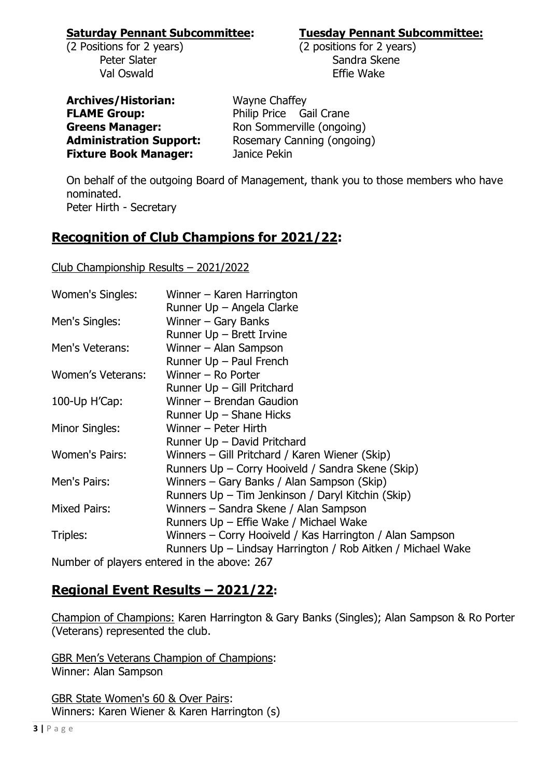#### **Saturday Pennant Subcommittee: Tuesday Pennant Subcommittee:**

(2 Positions for 2 years) (2 positions for 2 years) Val Oswald Effie Wake

Peter Slater National Structure of Sandra Skene

**Archives/Historian:** Wayne Chaffey **FLAME Group:** Philip Price Gail Crane **Fixture Book Manager:** Janice Pekin

**Greens Manager:** Ron Sommerville (ongoing) Administration Support: Rosemary Canning (ongoing)

On behalf of the outgoing Board of Management, thank you to those members who have nominated. Peter Hirth - Secretary

# **Recognition of Club Champions for 2021/22:**

Club Championship Results – 2021/2022

| Women's Singles:      | Winner – Karen Harrington                                   |
|-----------------------|-------------------------------------------------------------|
|                       | Runner Up - Angela Clarke                                   |
| Men's Singles:        | Winner - Gary Banks                                         |
|                       | Runner Up - Brett Irvine                                    |
| Men's Veterans:       | Winner – Alan Sampson                                       |
|                       | Runner Up - Paul French                                     |
| Women's Veterans:     | Winner - Ro Porter                                          |
|                       | Runner Up - Gill Pritchard                                  |
| 100-Up H'Cap:         | Winner - Brendan Gaudion                                    |
|                       | Runner Up - Shane Hicks                                     |
| Minor Singles:        | Winner - Peter Hirth                                        |
|                       | Runner Up - David Pritchard                                 |
| <b>Women's Pairs:</b> | Winners - Gill Pritchard / Karen Wiener (Skip)              |
|                       | Runners Up - Corry Hooiveld / Sandra Skene (Skip)           |
| Men's Pairs:          | Winners – Gary Banks / Alan Sampson (Skip)                  |
|                       | Runners Up – Tim Jenkinson / Daryl Kitchin (Skip)           |
| <b>Mixed Pairs:</b>   | Winners - Sandra Skene / Alan Sampson                       |
|                       | Runners Up - Effie Wake / Michael Wake                      |
| Triples:              | Winners - Corry Hooiveld / Kas Harrington / Alan Sampson    |
|                       | Runners Up – Lindsay Harrington / Rob Aitken / Michael Wake |
|                       | Number of players entered in the above: 267                 |

Number of players entered in the above: 267

## **Regional Event Results – 2021/22:**

Champion of Champions: Karen Harrington & Gary Banks (Singles); Alan Sampson & Ro Porter (Veterans) represented the club.

GBR Men's Veterans Champion of Champions: Winner: Alan Sampson

GBR State Women's 60 & Over Pairs: Winners: Karen Wiener & Karen Harrington (s)